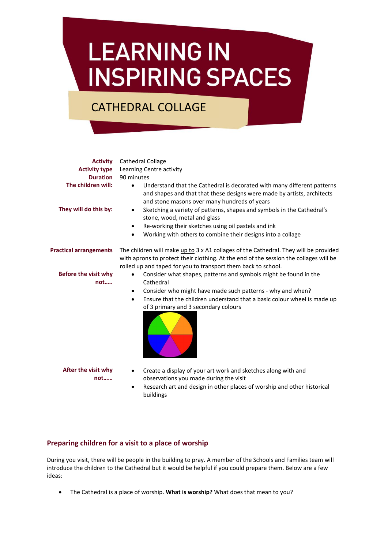# **LEARNING IN INSPIRING SPACES**

# CATHEDRAL COLLAGE

| <b>Activity</b><br><b>Activity type</b><br><b>Duration</b><br>The children will:<br>They will do this by: | Cathedral Collage<br>Learning Centre activity<br>90 minutes<br>Understand that the Cathedral is decorated with many different patterns<br>$\bullet$<br>and shapes and that that these designs were made by artists, architects<br>and stone masons over many hundreds of years<br>Sketching a variety of patterns, shapes and symbols in the Cathedral's<br>$\bullet$<br>stone, wood, metal and glass<br>Re-working their sketches using oil pastels and ink<br>٠ |
|-----------------------------------------------------------------------------------------------------------|-------------------------------------------------------------------------------------------------------------------------------------------------------------------------------------------------------------------------------------------------------------------------------------------------------------------------------------------------------------------------------------------------------------------------------------------------------------------|
|                                                                                                           | Working with others to combine their designs into a collage<br>٠                                                                                                                                                                                                                                                                                                                                                                                                  |
| <b>Practical arrangements</b>                                                                             | The children will make up to 3 x A1 collages of the Cathedral. They will be provided<br>with aprons to protect their clothing. At the end of the session the collages will be<br>rolled up and taped for you to transport them back to school.                                                                                                                                                                                                                    |
| <b>Before the visit why</b><br>not                                                                        | Consider what shapes, patterns and symbols might be found in the<br>$\bullet$<br>Cathedral<br>Consider who might have made such patterns - why and when?<br>$\bullet$<br>Ensure that the children understand that a basic colour wheel is made up<br>$\bullet$<br>of 3 primary and 3 secondary colours                                                                                                                                                            |
| After the visit why<br>not                                                                                | Create a display of your art work and sketches along with and<br>$\bullet$<br>observations you made during the visit<br>Research art and design in other places of worship and other historical<br>٠<br>buildings                                                                                                                                                                                                                                                 |

## **Preparing children for a visit to a place of worship**

During you visit, there will be people in the building to pray. A member of the Schools and Families team will introduce the children to the Cathedral but it would be helpful if you could prepare them. Below are a few ideas:

The Cathedral is a place of worship. **What is worship?** What does that mean to you?